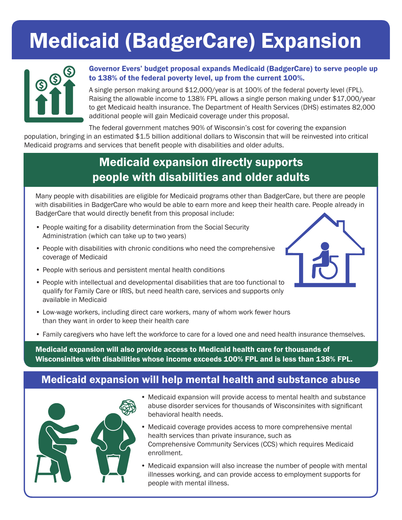## Medicaid (BadgerCare) Expansion



#### Governor Evers' budget proposal expands Medicaid (BadgerCare) to serve people up to 138% of the federal poverty level, up from the current 100%.

A single person making around \$12,000/year is at 100% of the federal poverty level (FPL). Raising the allowable income to 138% FPL allows a single person making under \$17,000/year to get Medicaid health insurance. The Department of Health Services (DHS) estimates 82,000 additional people will gain Medicaid coverage under this proposal.

The federal government matches 90% of Wisconsin's cost for covering the expansion

population, bringing in an estimated \$1.5 billion additional dollars to Wisconsin that will be reinvested into critical Medicaid programs and services that benefit people with disabilities and older adults.

### Medicaid expansion directly supports people with disabilities and older adults

Many people with disabilities are eligible for Medicaid programs other than BadgerCare, but there are people with disabilities in BadgerCare who would be able to earn more and keep their health care. People already in BadgerCare that would directly benefit from this proposal include:

- People waiting for a disability determination from the Social Security Administration (which can take up to two years)
- People with disabilities with chronic conditions who need the comprehensive coverage of Medicaid
- People with serious and persistent mental health conditions
- People with intellectual and developmental disabilities that are too functional to qualify for Family Care or IRIS, but need health care, services and supports only available in Medicaid
- Low-wage workers, including direct care workers, many of whom work fewer hours than they want in order to keep their health care
- Family caregivers who have left the workforce to care for a loved one and need health insurance themselves.

Medicaid expansion will also provide access to Medicaid health care for thousands of Wisconsinites with disabilities whose income exceeds 100% FPL and is less than 138% FPL.

#### Medicaid expansion will help mental health and substance abuse



- Medicaid expansion will provide access to mental health and substance abuse disorder services for thousands of Wisconsinites with significant behavioral health needs.
- Medicaid coverage provides access to more comprehensive mental health services than private insurance, such as Comprehensive Community Services (CCS) which requires Medicaid enrollment.
- Medicaid expansion will also increase the number of people with mental illnesses working, and can provide access to employment supports for people with mental illness.